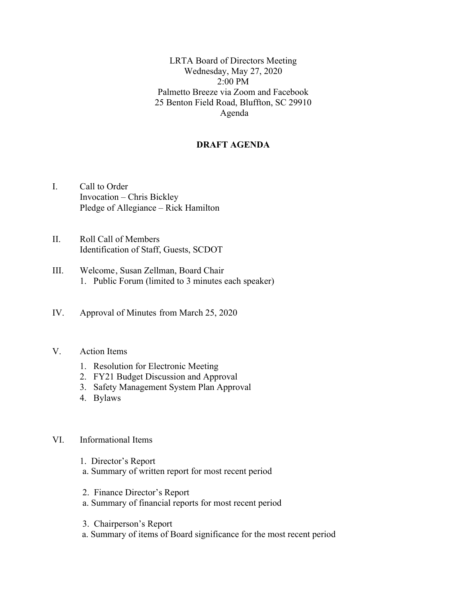LRTA Board of Directors Meeting Wednesday, May 27, 2020  $2.00 \text{ PM}$ Palmetto Breeze via Zoom and Facebook 25 Benton Field Road, Bluffton, SC 29910 Agenda

# **DRAFT AGENDA**

- I. Call to Order Invocation – Chris Bickley Pledge of Allegiance – Rick Hamilton
- II. Roll Call of Members Identification of Staff, Guests, SCDOT
- III. Welcome, Susan Zellman, Board Chair 1. Public Forum (limited to 3 minutes each speaker)
- IV. Approval of Minutes from March 25, 2020

### V. Action Items

- 1. Resolution for Electronic Meeting
- 2. FY21 Budget Discussion and Approval
- 3. Safety Management System Plan Approval
- 4. Bylaws

### VI. Informational Items

- 1. Director's Report
- a. Summary of written report for most recent period
- 2. Finance Director's Report
- a. Summary of financial reports for most recent period
- 3. Chairperson's Report
- a. Summary of items of Board significance for the most recent period